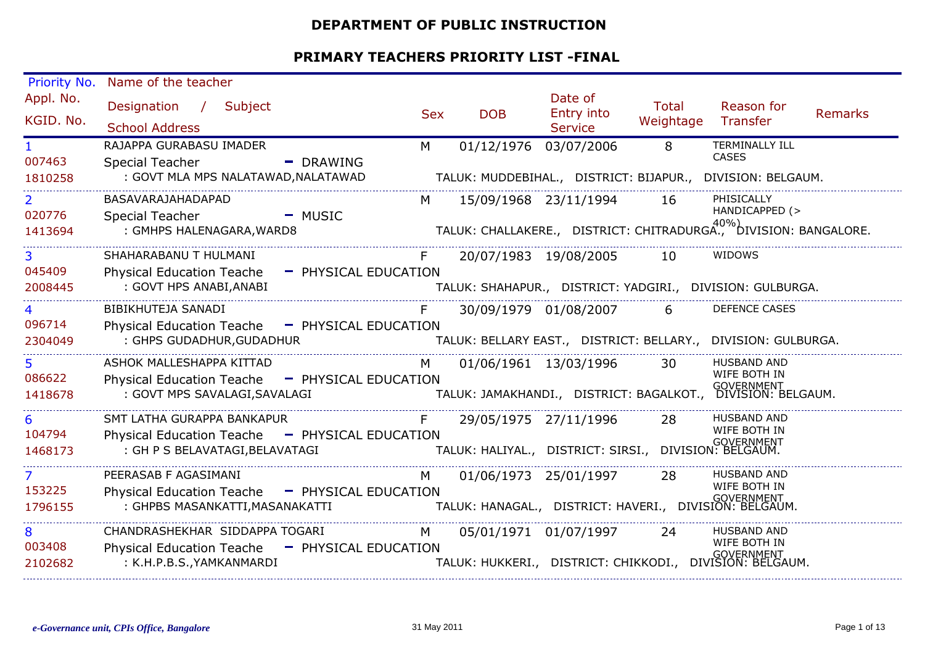#### **DEPARTMENT OF PUBLIC INSTRUCTION**

| Priority No.             | Name of the teacher                                                               |            |                       |                                                        |                           |                                                                     |                |
|--------------------------|-----------------------------------------------------------------------------------|------------|-----------------------|--------------------------------------------------------|---------------------------|---------------------------------------------------------------------|----------------|
| Appl. No.<br>KGID. No.   | Designation /<br>Subject<br><b>School Address</b>                                 | <b>Sex</b> | <b>DOB</b>            | Date of<br>Entry into<br><b>Service</b>                | <b>Total</b><br>Weightage | Reason for<br>Transfer                                              | <b>Remarks</b> |
| $\mathbf{1}$<br>007463   | RAJAPPA GURABASU IMADER<br><b>Special Teacher</b><br>$\blacksquare$ DRAWING       | M          | 01/12/1976            | 03/07/2006                                             | 8                         | TERMINALLY ILL<br><b>CASES</b>                                      |                |
| 1810258                  | : GOVT MLA MPS NALATAWAD, NALATAWAD                                               |            |                       |                                                        |                           | TALUK: MUDDEBIHAL., DISTRICT: BIJAPUR., DIVISION: BELGAUM.          |                |
| $\overline{2}$<br>020776 | BASAVARAJAHADAPAD<br>Special Teacher<br>$-MUSIC$                                  | M          | 15/09/1968 23/11/1994 |                                                        | 16                        | PHISICALLY<br>HANDICAPPED (>                                        |                |
| 1413694                  | : GMHPS HALENAGARA, WARD8                                                         |            |                       |                                                        |                           | TALUK: CHALLAKERE., DISTRICT: CHITRADURGA., DIVISION: BANGALORE.    |                |
| 3<br>045409              | SHAHARABANU T HULMANI<br><b>Physical Education Teache</b><br>- PHYSICAL EDUCATION |            | 20/07/1983 19/08/2005 |                                                        | 10                        | WIDOWS                                                              |                |
| 2008445                  | : GOVT HPS ANABI, ANABI                                                           |            |                       |                                                        |                           | TALUK: SHAHAPUR., DISTRICT: YADGIRI., DIVISION: GULBURGA.           |                |
| 096714                   | BIBIKHUTEJA SANADI<br>Physical Education Teache - PHYSICAL EDUCATION              |            | 30/09/1979 01/08/2007 |                                                        | 6                         | <b>DEFENCE CASES</b>                                                |                |
| 2304049                  | : GHPS GUDADHUR, GUDADHUR                                                         |            |                       |                                                        |                           | TALUK: BELLARY EAST., DISTRICT: BELLARY., DIVISION: GULBURGA.       |                |
| 5.<br>086622             | ASHOK MALLESHAPPA KITTAD<br>Physical Education Teache - PHYSICAL EDUCATION        | M          | 01/06/1961 13/03/1996 |                                                        | 30                        | <b>HUSBAND AND</b><br>WIFE BOTH IN                                  |                |
| 1418678                  | : GOVT MPS SAVALAGI, SAVALAGI                                                     |            |                       |                                                        |                           | <br>TALUK: JAMAKHANDI.,   DISTRICT: BAGALKOT.,   DIVISION: BELGAUM. |                |
| 6<br>104794              | SMT LATHA GURAPPA BANKAPUR<br>Physical Education Teache - PHYSICAL EDUCATION      | F          | 29/05/1975 27/11/1996 |                                                        | 28                        | <b>HUSBAND AND</b><br>WIFE BOTH IN                                  |                |
| 1468173                  | : GH P S BELAVATAGI, BELAVATAGI                                                   |            |                       |                                                        |                           |                                                                     |                |
| $\mathcal{L}$<br>153225  | PEERASAB F AGASIMANI<br>Physical Education Teache - PHYSICAL EDUCATION            | M          | 01/06/1973 25/01/1997 |                                                        | 28                        | <b>HUSBAND AND</b><br>WIFE BOTH IN                                  |                |
| 1796155                  | : GHPBS MASANKATTI, MASANAKATTI                                                   |            |                       | TALUK: HANAGAL., DISTRICT: HAVERI., DIVISION: BELGAUM. |                           | <b>GOVERNMENT</b>                                                   |                |
| 8<br>003408              | CHANDRASHEKHAR SIDDAPPA TOGARI<br>Physical Education Teache - PHYSICAL EDUCATION  | M          | 05/01/1971 01/07/1997 |                                                        | -24                       | HUSBAND AND<br>WIFE BOTH IN                                         |                |
| 2102682                  | : K.H.P.B.S., YAMKANMARDI                                                         |            |                       |                                                        |                           | .<br>TALUK: HUKKERI.,   DISTRICT: CHIKKODI.,   DIVISION: BELGAUM.   |                |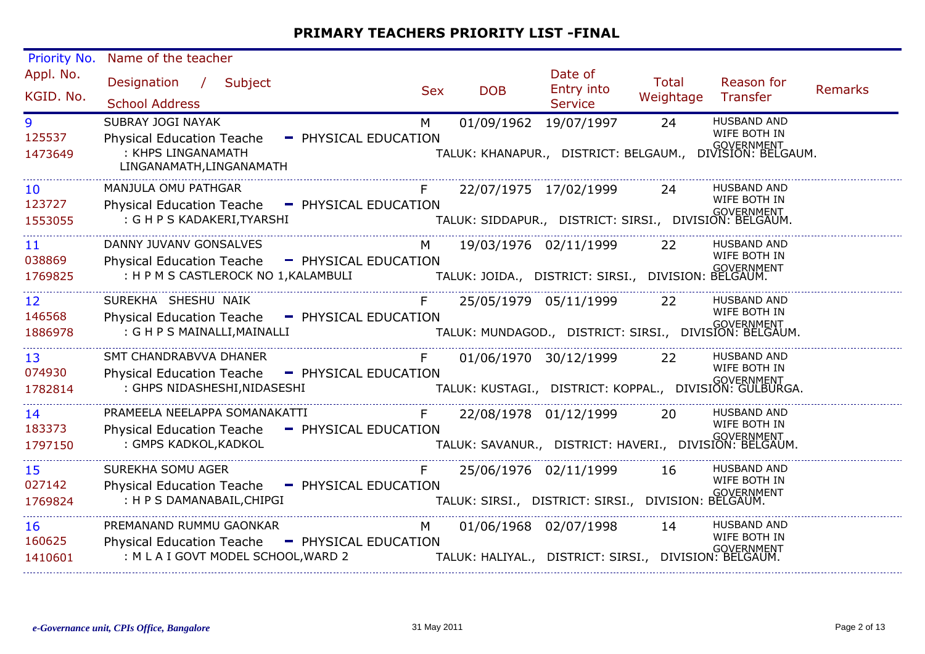| Priority No.                         | Name of the teacher                                                                                      |                                                                                                    |                                                                                                                                                                        |                       |                                                                                              |                    |                                                                                                        |                |
|--------------------------------------|----------------------------------------------------------------------------------------------------------|----------------------------------------------------------------------------------------------------|------------------------------------------------------------------------------------------------------------------------------------------------------------------------|-----------------------|----------------------------------------------------------------------------------------------|--------------------|--------------------------------------------------------------------------------------------------------|----------------|
| Appl. No.<br>KGID. No.               | Designation / Subject<br><b>School Address</b>                                                           |                                                                                                    | <b>Sex</b>                                                                                                                                                             | <b>DOB</b>            | Date of<br>Entry into<br><b>Service</b>                                                      | Total<br>Weightage | Reason for<br>Transfer                                                                                 | <b>Remarks</b> |
| 9<br>125537<br>1473649               | SUBRAY JOGI NAYAK<br><b>Physical Education Teache</b><br>: KHPS LINGANAMATH<br>LINGANAMATH, LINGANAMATH  |                                                                                                    | M<br>- PHYSICAL EDUCATION                                                                                                                                              | 01/09/1962 19/07/1997 |                                                                                              | 24                 | <b>HUSBAND AND</b><br>WIFE BOTH IN<br><br>TALUK: KHANAPUR.,   DISTRICT: BELGAUM.,   DIVISION: BELGAUM. |                |
| 10<br>123727<br>1553055              | MANJULA OMU PATHGAR<br>Physical Education Teache - PHYSICAL EDUCATION<br>: G H P S KADAKERI, TYARSHI     |                                                                                                    | F                                                                                                                                                                      |                       | 22/07/1975 17/02/1999 24<br>۰۰<br>TALUK: SIDDAPUR.,   DISTRICT: SIRSI.,   DIVISION: BELGAUM. |                    | <b>HUSBAND AND</b><br>WIFE BOTH IN                                                                     |                |
| 11<br>038869<br>1769825              | DANNY JUVANV GONSALVES<br>Physical Education Teache - PHYSICAL EDUCATION                                 | GOVERNMENT : H P M S CASTLEROCK NO 1,KALAMBULI TALUK: JOIDA., DISTRICT: SIRSI., DIVISION: BELGAUM. | M                                                                                                                                                                      |                       | 19/03/1976 02/11/1999 22                                                                     |                    | <b>HUSBAND AND</b><br>WIFE BOTH IN                                                                     |                |
| 12 <sup>2</sup><br>146568<br>1886978 | SUREKHA SHESHU NAIK<br>Physical Education Teache - PHYSICAL EDUCATION<br>: G H P S MAINALLI, MAINALLI    |                                                                                                    | F                                                                                                                                                                      |                       | 25/05/1979 05/11/1999                                                                        | 22                 | <b>HUSBAND AND</b><br>WIFE BOTH IN<br>''<br>TALUK: MUNDAGOD.,   DISTRICT: SIRSI.,   DIVISION: BELGAUM. |                |
| 13 <sup>°</sup><br>074930<br>1782814 | SMT CHANDRABVVA DHANER<br>Physical Education Teache - PHYSICAL EDUCATION<br>: GHPS NIDASHESHI, NIDASESHI |                                                                                                    | F<br>لادا المستحدث المستحدث المستحدث المستحدث المستحدث المستحدث المستحدث المستحدث المستحدث المستحدث المست<br>TALUK: KUSTAGI.,  DISTRICT: KOPPAL.,  DIVISION: GULBURGA. |                       | 01/06/1970 30/12/1999                                                                        | 22                 | <b>HUSBAND AND</b><br>WIFE BOTH IN                                                                     |                |
| 14<br>183373<br>1797150              | PRAMEELA NEELAPPA SOMANAKATTI<br>Physical Education Teache - PHYSICAL EDUCATION<br>: GMPS KADKOL, KADKOL |                                                                                                    | F                                                                                                                                                                      |                       | 22/08/1978 01/12/1999<br>''<br>TALUK: SAVANUR.,   DISTRICT: HAVERI.,   DIVISION: BELGAUM.    | -20                | <b>HUSBAND AND</b><br>WIFE BOTH IN                                                                     |                |
| 15<br>027142<br>1769824              | SUREKHA SOMU AGER<br>Physical Education Teache - PHYSICAL EDUCATION<br>: H P S DAMANABAIL, CHIPGI        |                                                                                                    | F                                                                                                                                                                      | 25/06/1976 02/11/1999 | IN GOVERNMENT<br>TALUK: SIRSI.,   DISTRICT: SIRSI.,   DIVISION: BELGAUM.                     | 16                 | <b>HUSBAND AND</b><br>WIFE BOTH IN                                                                     |                |
| 16<br>160625<br>1410601              | PREMANAND RUMMU GAONKAR<br>Physical Education Teache - PHYSICAL EDUCATION                                | : M L A I GOVT MODEL SCHOOL, WARD 2                                                                | M                                                                                                                                                                      | 01/06/1968 02/07/1998 | GOVERNMENT<br>TALUK: HALIYAL.,   DISTRICT: SIRSI.,   DIVISION: BELGAUM.                      | 14                 | HUSBAND AND<br>WIFE BOTH IN                                                                            |                |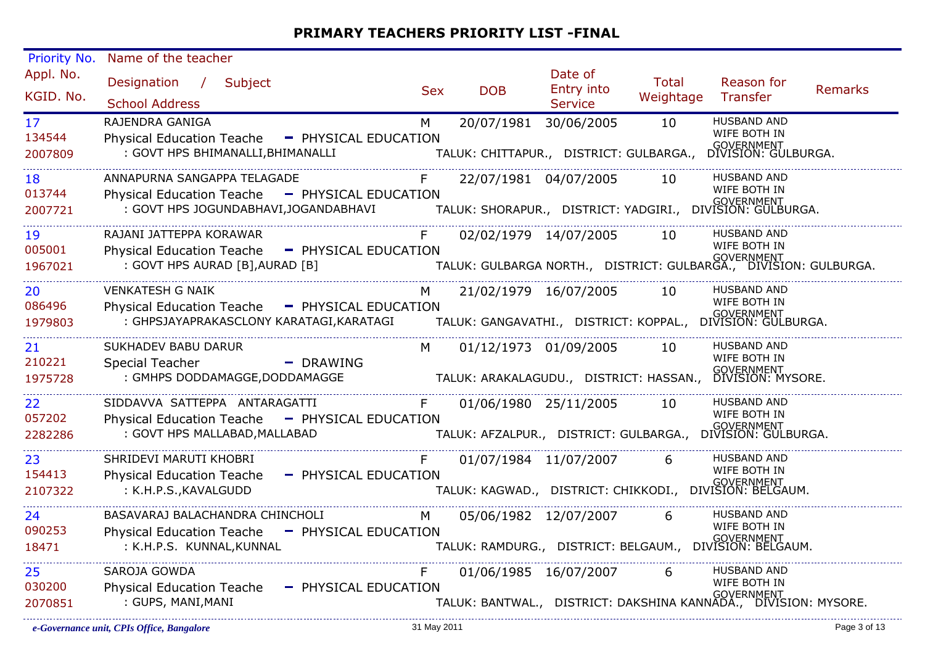| Priority No.    | Name of the teacher                            |                                      |            |                       |                                         |           |                                                                                   |                |
|-----------------|------------------------------------------------|--------------------------------------|------------|-----------------------|-----------------------------------------|-----------|-----------------------------------------------------------------------------------|----------------|
| Appl. No.       | Designation /<br>Subject                       |                                      | <b>Sex</b> | <b>DOB</b>            | Date of<br>Entry into                   | Total     | Reason for                                                                        | <b>Remarks</b> |
| KGID. No.       | <b>School Address</b>                          |                                      |            |                       | <b>Service</b>                          | Weightage | Transfer                                                                          |                |
| 17 <sup>2</sup> | RAJENDRA GANIGA                                |                                      | M          | 20/07/1981 30/06/2005 |                                         | 10        | <b>HUSBAND AND</b>                                                                |                |
| 134544          | <b>Physical Education Teache</b>               | - PHYSICAL EDUCATION                 |            |                       |                                         |           | WIFE BOTH IN<br>GOVERNMENT<br>DIVISION: GULBURGA.                                 |                |
| 2007809         | : GOVT HPS BHIMANALLI, BHIMANALLI              |                                      |            |                       | TALUK: CHITTAPUR., DISTRICT: GULBARGA., |           |                                                                                   |                |
| 18              | ANNAPURNA SANGAPPA TELAGADE                    |                                      | F          |                       | 22/07/1981 04/07/2005                   | 10        | <b>HUSBAND AND</b>                                                                |                |
| 013744          | <b>Physical Education Teache</b>               | - PHYSICAL EDUCATION                 |            |                       |                                         |           | WIFE BOTH IN<br><br>TALUK: SHORAPUR.,   DISTRICT: YADGIRI.,   DIVISION: GULBURGA. |                |
| 2007721         |                                                | : GOVT HPS JOGUNDABHAVI,JOGANDABHAVI |            |                       |                                         |           |                                                                                   |                |
| 19              | RAJANI JATTEPPA KORAWAR                        |                                      |            |                       | 02/02/1979 14/07/2005                   | 10        | <b>HUSBAND AND</b><br>WIFE BOTH IN                                                |                |
| 005001          | Physical Education Teache - PHYSICAL EDUCATION |                                      |            |                       |                                         |           | <br>TALUK: GULBARGA NORTH.,   DISTRICT: GULBARGA.,   DIVISION: GULBURGA.          |                |
| 1967021         | : GOVT HPS AURAD [B], AURAD [B]                |                                      |            |                       |                                         |           |                                                                                   |                |
| 20              | <b>VENKATESH G NAIK</b>                        |                                      | M          |                       | 21/02/1979 16/07/2005                   | 10        | <b>HUSBAND AND</b><br>WIFE BOTH IN                                                |                |
| 086496          | <b>Physical Education Teache</b>               | - PHYSICAL EDUCATION                 |            |                       |                                         |           | .<br>TALUK: GANGAVATHI.,   DISTRICT: KOPPAL.,   DIVISION: GULBURGA.               |                |
| 1979803         | : GHPSJAYAPRAKASCLONY KARATAGI, KARATAGI       |                                      |            |                       |                                         |           |                                                                                   |                |
| 21              | <b>SUKHADEV BABU DARUR</b>                     |                                      | M          | 01/12/1973 01/09/2005 |                                         | 10        | <b>HUSBAND AND</b><br>WIFE BOTH IN                                                |                |
| 210221          | <b>Special Teacher</b>                         | - DRAWING                            |            |                       |                                         |           | GOVERNMENT<br>DIVISION: MYSORE.                                                   |                |
| 1975728         | : GMHPS DODDAMAGGE, DODDAMAGGE                 |                                      |            |                       | TALUK: ARAKALAGUDU., DISTRICT: HASSAN., |           |                                                                                   |                |
| 22              | SIDDAVVA SATTEPPA ANTARAGATTI                  |                                      | F          | 01/06/1980 25/11/2005 |                                         | 10        | <b>HUSBAND AND</b><br>WIFE BOTH IN                                                |                |
| 057202          | <b>Physical Education Teache</b>               | - PHYSICAL EDUCATION                 |            |                       |                                         |           | GOVERNMENT<br>DIVISION: GULBURGA.                                                 |                |
| 2282286         | : GOVT HPS MALLABAD, MALLABAD                  |                                      |            |                       | TALUK: AFZALPUR., DISTRICT: GULBARGA.,  |           |                                                                                   |                |
| 23              | SHRIDEVI MARUTI KHOBRI                         |                                      | F.         | 01/07/1984 11/07/2007 |                                         | 6         | <b>HUSBAND AND</b><br>WIFE BOTH IN                                                |                |
| 154413          | <b>Physical Education Teache</b>               | - PHYSICAL EDUCATION                 |            |                       |                                         |           | GOVERNMENT<br>TALUK: KAGWAD.,   DISTRICT: CHIKKODI.,   DIVISION: BELGAUM.         |                |
| 2107322         | : K.H.P.S., KAVALGUDD                          |                                      |            |                       |                                         |           |                                                                                   |                |
| 24              | BASAVARAJ BALACHANDRA CHINCHOLI                |                                      | M          | 05/06/1982 12/07/2007 |                                         | 6         | <b>HUSBAND AND</b><br>WIFE BOTH IN                                                |                |
| 090253          | Physical Education Teache - PHYSICAL EDUCATION |                                      |            |                       |                                         |           | .<br>TALUK: RAMDURG.,   DISTRICT: BELGAUM.,   DIVISION: BELGAUM.                  |                |
| 18471           | : K.H.P.S. KUNNAL, KUNNAL                      |                                      |            |                       |                                         |           |                                                                                   |                |
| 25              | SAROJA GOWDA                                   |                                      |            | 01/06/1985 16/07/2007 |                                         | 6         | <b>HUSBAND AND</b><br>WIFE BOTH IN                                                |                |
| 030200          | <b>Physical Education Teache</b>               | - PHYSICAL EDUCATION                 |            |                       |                                         |           | GOVERNMENT<br>TALUK: BANTWAL.,   DISTRICT: DAKSHINA KANNADA.,   DIVISION: MYSORE. |                |
| 2070851         | : GUPS, MANI, MANI                             |                                      |            |                       |                                         |           |                                                                                   |                |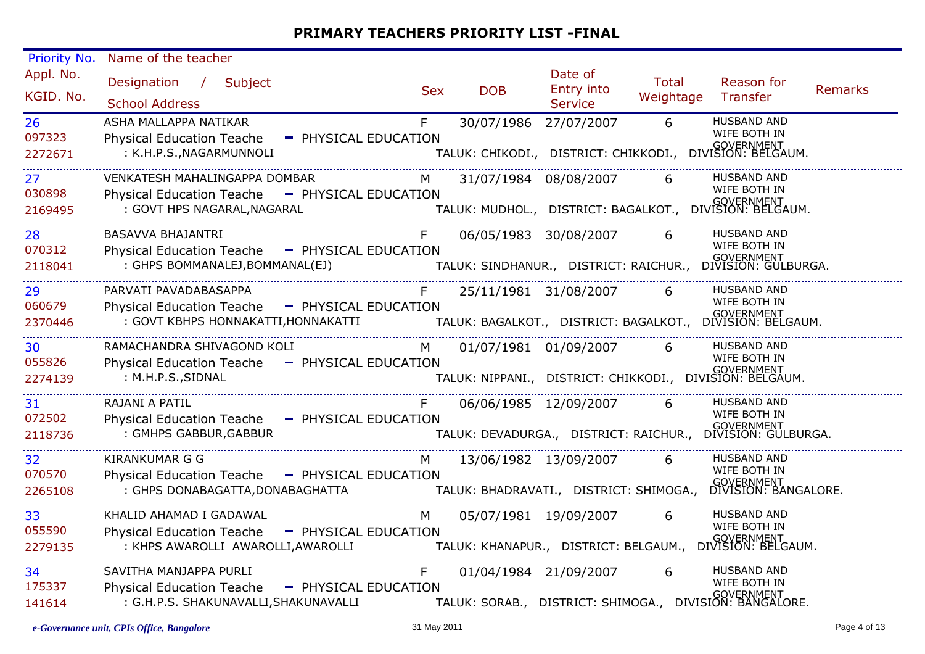| Priority No.           | Name of the teacher                                                                     |                                                                                                        |            |                       |                                         |                    |                                                                                  |         |
|------------------------|-----------------------------------------------------------------------------------------|--------------------------------------------------------------------------------------------------------|------------|-----------------------|-----------------------------------------|--------------------|----------------------------------------------------------------------------------|---------|
| Appl. No.<br>KGID. No. | Designation / Subject<br><b>School Address</b>                                          |                                                                                                        | <b>Sex</b> | <b>DOB</b>            | Date of<br>Entry into<br><b>Service</b> | Total<br>Weightage | Reason for<br>Transfer                                                           | Remarks |
| 26<br>097323           | ASHA MALLAPPA NATIKAR<br><b>Physical Education Teache</b>                               | - PHYSICAL EDUCATION                                                                                   | F.         | 30/07/1986 27/07/2007 |                                         | 6                  | <b>HUSBAND AND</b><br>WIFE BOTH IN                                               |         |
| 2272671                | : K.H.P.S., NAGARMUNNOLI                                                                |                                                                                                        |            |                       |                                         |                    | .<br>TALUK: CHIKODI.,   DISTRICT: CHIKKODI.,   DIVISION: BELGAUM.                |         |
| 27<br>030898           | VENKATESH MAHALINGAPPA DOMBAR<br>Physical Education Teache - PHYSICAL EDUCATION         |                                                                                                        | M          |                       | 31/07/1984 08/08/2007                   | 6                  | <b>HUSBAND AND</b><br>WIFE BOTH IN                                               |         |
| 2169495                | : GOVT HPS NAGARAL, NAGARAL                                                             |                                                                                                        |            |                       |                                         |                    | <br>TALUK: MUDHOL.,   DISTRICT: BAGALKOT.,   DIVISION: BELGAUM.                  |         |
| 28<br>070312           | BASAVVA BHAJANTRI                                                                       |                                                                                                        | F          |                       | 06/05/1983 30/08/2007                   | 6                  | <b>HUSBAND AND</b><br>WIFE BOTH IN                                               |         |
| 2118041                | Physical Education Teache - PHYSICAL EDUCATION<br>: GHPS BOMMANALEJ, BOMMANAL(EJ)       |                                                                                                        |            |                       |                                         |                    |                                                                                  |         |
| 29<br>060679           | PARVATI PAVADABASAPPA                                                                   |                                                                                                        | F          |                       | 25/11/1981 31/08/2007                   | $\overline{6}$     | <b>HUSBAND AND</b><br>WIFE BOTH IN                                               |         |
| 2370446                | Physical Education Teache - PHYSICAL EDUCATION                                          | : GOVT KBHPS HONNAKATTI,HONNAKATTI<br>TALUK: BAGALKOT., DISTRICT: BAGALKOT., DIVISION: BELGAUM.        |            |                       |                                         |                    |                                                                                  |         |
| 30<br>055826           | RAMACHANDRA SHIVAGOND KOLI                                                              |                                                                                                        | M.         |                       | 01/07/1981 01/09/2007                   | 6                  | <b>HUSBAND AND</b><br>WIFE BOTH IN                                               |         |
| 2274139                | Physical Education Teache<br>: M.H.P.S., SIDNAL                                         | - PHYSICAL EDUCATION                                                                                   |            |                       |                                         |                    | .<br>TALUK: NIPPANI.,   DISTRICT: CHIKKODI.,   DIVISION: BELGAUM.                |         |
| 31<br>072502           | RAJANI A PATIL<br>Physical Education Teache - PHYSICAL EDUCATION                        |                                                                                                        |            |                       | 06/06/1985 12/09/2007                   | 6                  | HUSBAND AND<br>WIFE BOTH IN                                                      |         |
| 2118736                | : GMHPS GABBUR, GABBUR                                                                  |                                                                                                        |            |                       |                                         |                    | <br>TALUK: DEVADURGA.,   DISTRICT: RAICHUR.,   DIVISION: GULBURGA.               |         |
| 32                     | <b>KIRANKUMAR G G</b>                                                                   |                                                                                                        | M          |                       | 13/06/1982 13/09/2007                   | 6                  | <b>HUSBAND AND</b><br>WIFE BOTH IN                                               |         |
| 070570<br>2265108      | Physical Education Teache - PHYSICAL EDUCATION<br>: GHPS DONABAGATTA, DONABAGHATTA      |                                                                                                        |            |                       |                                         |                    | י GOVERNMENT<br>TALUK: BHADRAVATI.,   DISTRICT: SHIMOGA.,   DIVISION: BANGALORE. |         |
| 33                     | KHALID AHAMAD I GADAWAL                                                                 |                                                                                                        | M          |                       | 05/07/1981 19/09/2007                   | $6\overline{6}$    | <b>HUSBAND AND</b><br>WIFE BOTH IN                                               |         |
| 055590<br>2279135      | Physical Education Teache - PHYSICAL EDUCATION                                          | .<br>KHPS AWAROLLI AWAROLLI,AWAROLLI : TALUK: KHANAPUR.,   DISTRICT: BELGAUM.,   DIVISION: BELGAUM.  : |            |                       |                                         |                    |                                                                                  |         |
| 34                     | SAVITHA MANJAPPA PURLI                                                                  |                                                                                                        | F.         |                       | 01/04/1984 21/09/2007                   | 6                  | HUSBAND AND<br>WIFE BOTH IN                                                      |         |
| 175337<br>141614       | Physical Education Teache - PHYSICAL EDUCATION<br>: G.H.P.S. SHAKUNAVALLI, SHAKUNAVALLI |                                                                                                        |            |                       |                                         |                    | .<br>TALUK: SORAB.,   DISTRICT: SHIMOGA.,   DIVISION: BANGALORE.                 |         |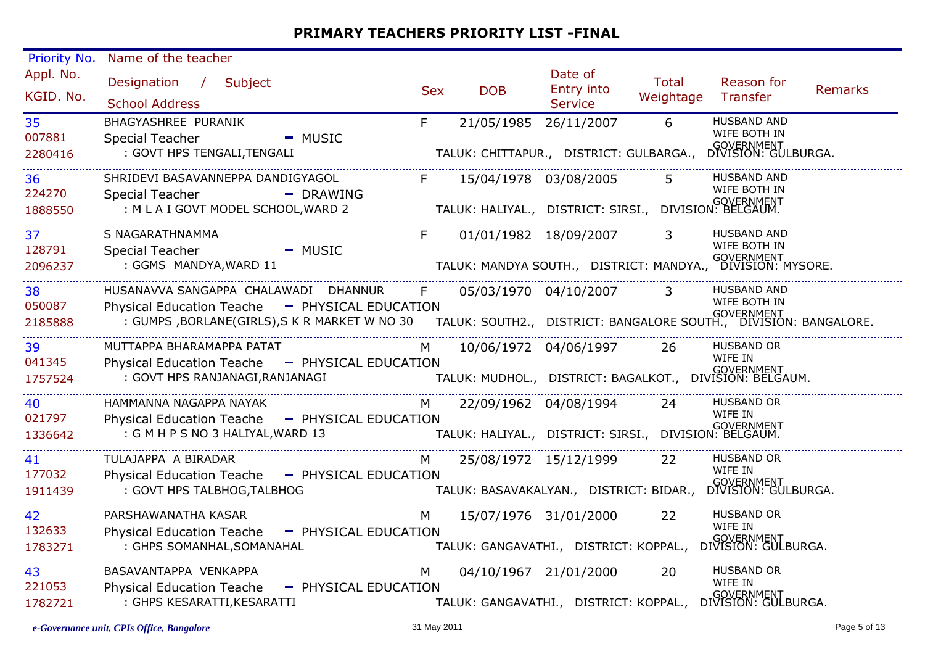| Priority No.            | Name of the teacher                                                                                                                                                                                                                                                  |            |                                                                                                  |                                         |                    |                                                                         |                |
|-------------------------|----------------------------------------------------------------------------------------------------------------------------------------------------------------------------------------------------------------------------------------------------------------------|------------|--------------------------------------------------------------------------------------------------|-----------------------------------------|--------------------|-------------------------------------------------------------------------|----------------|
| Appl. No.<br>KGID. No.  | Designation / Subject<br><b>School Address</b>                                                                                                                                                                                                                       | <b>Sex</b> | <b>DOB</b>                                                                                       | Date of<br>Entry into<br><b>Service</b> | Total<br>Weightage | Reason for<br>Transfer                                                  | <b>Remarks</b> |
| 35<br>007881<br>2280416 | <b>BHAGYASHREE PURANIK</b><br><b>Special Teacher</b><br>$-MUSIC$<br>: GOVT HPS TENGALI, TENGALI                                                                                                                                                                      | F.         | 21/05/1985 26/11/2007<br>TALUK: CHITTAPUR., DISTRICT: GULBARGA.,                                 |                                         | 6                  | <b>HUSBAND AND</b><br>WIFE BOTH IN<br>GOVERNMENT<br>DIVISION: GULBURGA. |                |
| 36<br>224270<br>1888550 | SHRIDEVI BASAVANNEPPA DANDIGYAGOL<br><b>Special Teacher</b><br>- DRAWING<br>: M L A I GOVT MODEL SCHOOL, WARD 2                                                                                                                                                      | F          | 15/04/1978 03/08/2005<br>TALUK: HALIYAL., DISTRICT: SIRSI., DIVISION: BELGAUM.                   |                                         | 5 <sup>1</sup>     | <b>HUSBAND AND</b><br>WIFE BOTH IN<br>GQVERNMENT                        |                |
| 37<br>128791<br>2096237 | S NAGARATHNAMMA<br><b>Special Teacher</b><br>$-MUSIC$<br>: GGMS MANDYA, WARD 11                                                                                                                                                                                      | F          | 01/01/1982 18/09/2007<br>TALUK: MANDYA SOUTH., DISTRICT: MANDYA., BIVISION: MYSORE.              |                                         | $\overline{3}$     | <b>HUSBAND AND</b><br>WIFE BOTH IN                                      |                |
| 38<br>050087<br>2185888 | HUSANAVVA SANGAPPA CHALAWADI DHANNUR<br>Physical Education Teache - PHYSICAL EDUCATION<br>SOVERNMENT ( GOVERNMENT ) THI SICAL EDOCATION<br>GOVERNMENT : GUMPS ,BORLANE(GIRLS),S K R MARKET W NO 30 TALUK: SOUTH2., DISTRICT: BANGALORE SOUTH., DIVISION: BANGALORE : | F          |                                                                                                  | 05/03/1970 04/10/2007                   | $\overline{3}$     | <b>HUSBAND AND</b><br>WIFE BOTH IN                                      |                |
| 39<br>041345<br>1757524 | MUTTAPPA BHARAMAPPA PATAT<br>Physical Education Teache - PHYSICAL EDUCATION<br>: GOVT HPS RANJANAGI, RANJANAGI                                                                                                                                                       | M          | .<br>TALUK: MUDHOL.,   DISTRICT: BAGALKOT.,   DIVISION: BELGAUM.                                 | 10/06/1972 04/06/1997                   | -26                | <b>HUSBAND OR</b><br>WIFE IN                                            |                |
| 40<br>021797<br>1336642 | HAMMANNA NAGAPPA NAYAK<br>Physical Education Teache - PHYSICAL EDUCATION<br>: G M H P S NO 3 HALIYAL, WARD 13                                                                                                                                                        | M          | 22/09/1962 04/08/1994<br>GOVERNMENT<br>TALUK: HALIYAL.,   DISTRICT: SIRSI.,   DIVISION: BELGAUM. |                                         | 24                 | <b>HUSBAND OR</b><br>WIFE IN                                            |                |
| 41<br>177032<br>1911439 | TULAJAPPA A BIRADAR<br>Physical Education Teache - PHYSICAL EDUCATION<br>: GOVT HPS TALBHOG, TALBHOG                                                                                                                                                                 | M.         | .<br>TALUK: BASAVAKALYAN.,   DISTRICT: BIDAR.,   DIVISION: GULBURGA.                             | 25/08/1972 15/12/1999                   | <b>22</b>          | <b>HUSBAND OR</b><br>WIFE IN                                            |                |
| 42<br>132633<br>1783271 | PARSHAWANATHA KASAR<br>Physical Education Teache - PHYSICAL EDUCATION<br>: GHPS SOMANHAL, SOMANAHAL                                                                                                                                                                  | M          | 15/07/1976 31/01/2000<br>.、<br>TALUK: GANGAVATHI.,   DISTRICT: KOPPAL.,   DIVISION: GULBURGA.    |                                         | 22                 | <b>HUSBAND OR</b><br>WIFE IN                                            |                |
| 43<br>221053<br>1782721 | BASAVANTAPPA VENKAPPA<br><b>Physical Education Teache</b><br>- PHYSICAL EDUCATION<br>: GHPS KESARATTI, KESARATTI                                                                                                                                                     | M          | 04/10/1967 21/01/2000<br>.<br>TALUK: GANGAVATHI.,   DISTRICT: KOPPAL.,   DIVISION: GULBURGA.     |                                         | 20                 | <b>HUSBAND OR</b><br>WIFE IN                                            |                |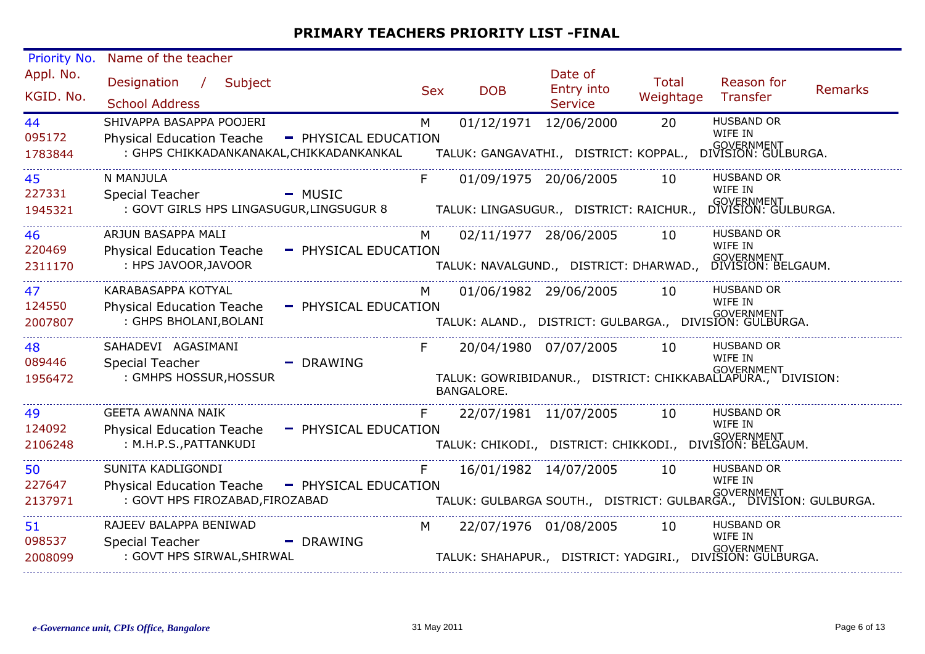| Priority No.           | Name of the teacher                                                                                                                          |                      |            |                       |                                         |                           |                                                                                    |                |
|------------------------|----------------------------------------------------------------------------------------------------------------------------------------------|----------------------|------------|-----------------------|-----------------------------------------|---------------------------|------------------------------------------------------------------------------------|----------------|
| Appl. No.<br>KGID. No. | Designation /<br>Subject<br><b>School Address</b>                                                                                            |                      | <b>Sex</b> | <b>DOB</b>            | Date of<br>Entry into<br><b>Service</b> | <b>Total</b><br>Weightage | Reason for<br>Transfer                                                             | <b>Remarks</b> |
| 44                     | SHIVAPPA BASAPPA POOJERI                                                                                                                     |                      | M          | 01/12/1971 12/06/2000 |                                         | 20                        | <b>HUSBAND OR</b><br>WIFE IN                                                       |                |
| 095172                 | <b>Physical Education Teache</b><br>: GHPS CHIKKADANKANAKAL, CHIKKADANKANKAL                                                                 | - PHYSICAL EDUCATION |            |                       |                                         |                           | <br>TALUK: GANGAVATHI.,   DISTRICT: KOPPAL.,   DIVISION: GULBURGA.                 |                |
| 1783844                |                                                                                                                                              |                      |            |                       |                                         |                           |                                                                                    |                |
| 45                     | N MANJULA                                                                                                                                    |                      | F          | 01/09/1975 20/06/2005 |                                         | 10                        | <b>HUSBAND OR</b><br>WIFE IN                                                       |                |
| 227331<br>1945321      | Special Teacher<br>المادي المستحدة.<br>GOVT GIRLS HPS LINGASUGUR,LINGSUGUR 8 TALUK: LINGASUGUR.,  DISTRICT: RAICHUR.,  DIVISION: GULBURGA: : | $-MUSIC$             |            |                       |                                         |                           |                                                                                    |                |
| 46                     | ARJUN BASAPPA MALI                                                                                                                           |                      | M          | 02/11/1977 28/06/2005 |                                         | 10                        | <b>HUSBAND OR</b>                                                                  |                |
| 220469                 | Physical Education Teache - PHYSICAL EDUCATION                                                                                               |                      |            |                       |                                         |                           | WIFE IN<br>.、<br>TALUK: NAVALGUND.,    DISTRICT: DHARWAD.,     DIVISION: BELGAUM.  |                |
| 2311170                | : HPS JAVOOR, JAVOOR                                                                                                                         |                      |            |                       |                                         |                           |                                                                                    |                |
| 47                     | KARABASAPPA KOTYAL                                                                                                                           |                      | M          | 01/06/1982 29/06/2005 |                                         | 10                        | <b>HUSBAND OR</b><br>WIFE IN                                                       |                |
| 124550<br>2007807      | <b>Physical Education Teache</b><br>: GHPS BHOLANI, BOLANI                                                                                   | - PHYSICAL EDUCATION |            |                       |                                         |                           | .<br>TALUK: ALAND.,    DISTRICT:  GULBARGA.,    DIVISION:  GULBURGA.               |                |
|                        |                                                                                                                                              |                      |            |                       |                                         |                           |                                                                                    |                |
| 48<br>089446           | SAHADEVI AGASIMANI                                                                                                                           |                      | F          | 20/04/1980 07/07/2005 |                                         | 10                        | <b>HUSBAND OR</b><br>WIFE IN                                                       |                |
| 1956472                | <b>Special Teacher</b><br>: GMHPS HOSSUR, HOSSUR                                                                                             | - DRAWING            |            | <b>BANGALORE.</b>     |                                         |                           | GOVERNMENT<br>TALUK: GOWRIBIDANUR., DISTRICT: CHIKKABALLAPURA., DIVISION:          |                |
| 49                     | <b>GEETA AWANNA NAIK</b>                                                                                                                     |                      | F.         |                       | 22/07/1981 11/07/2005                   | 10                        | <b>HUSBAND OR</b>                                                                  |                |
| 124092                 | <b>Physical Education Teache</b>                                                                                                             | - PHYSICAL EDUCATION |            |                       |                                         |                           | WIFE IN<br>.<br>TALUK: CHIKODI.,   DISTRICT: CHIKKODI.,   DIVISION: BELGAUM.       |                |
| 2106248                | : M.H.P.S., PATTANKUDI                                                                                                                       |                      |            |                       |                                         |                           |                                                                                    |                |
| 50                     | SUNITA KADLIGONDI                                                                                                                            |                      | F.         |                       | 16/01/1982 14/07/2005                   | 10                        | <b>HUSBAND OR</b><br>WIFE IN                                                       |                |
| 227647<br>2137971      | Physical Education Teache - PHYSICAL EDUCATION<br>: GOVT HPS FIROZABAD, FIROZABAD                                                            |                      |            |                       |                                         |                           | , , ,<br>TALUK: GULBARGA SOUTH.,   DISTRICT: GULBARGA.,   DIVISION: GULBURGA.      |                |
| 51                     | RAJEEV BALAPPA BENIWAD                                                                                                                       |                      | M          | 22/07/1976 01/08/2005 |                                         | 10                        | <b>HUSBAND OR</b>                                                                  |                |
| 098537                 | <b>Special Teacher</b>                                                                                                                       | - DRAWING            |            |                       |                                         |                           | WIFE IN<br>GOVERNMENT<br>TALUK: SHAHAPUR., DISTRICT: YADGIRI., DIVISION: GULBURGA. |                |
| 2008099                | : GOVT HPS SIRWAL, SHIRWAL                                                                                                                   |                      |            |                       |                                         |                           |                                                                                    |                |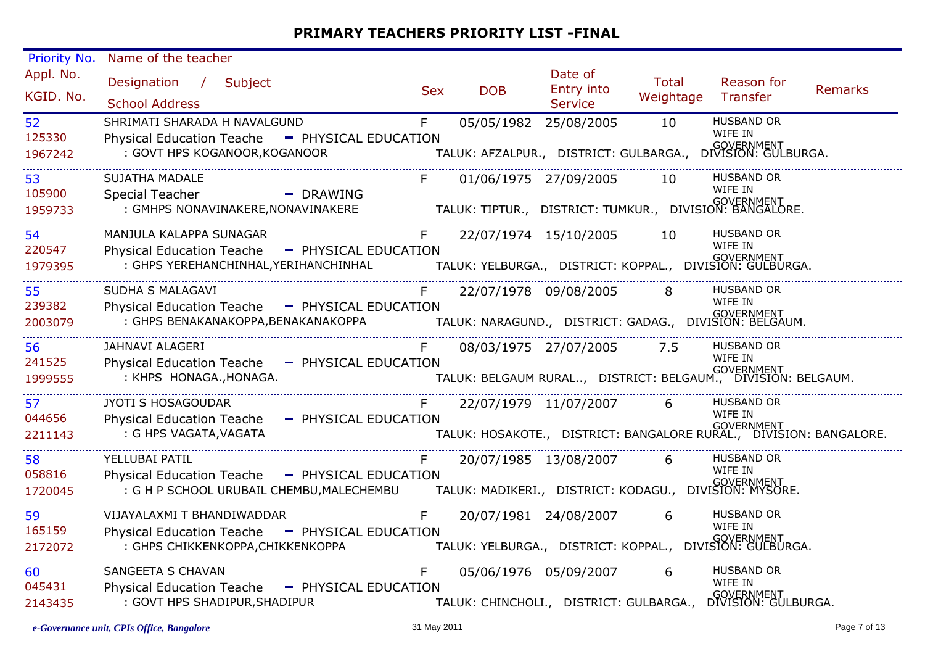| Priority No.           | Name of the teacher                            |                                                                                                                                     |            |                       |                                         |                             |                                                                                     |                |
|------------------------|------------------------------------------------|-------------------------------------------------------------------------------------------------------------------------------------|------------|-----------------------|-----------------------------------------|-----------------------------|-------------------------------------------------------------------------------------|----------------|
| Appl. No.<br>KGID. No. | Designation / Subject<br><b>School Address</b> |                                                                                                                                     | <b>Sex</b> | <b>DOB</b>            | Date of<br>Entry into<br><b>Service</b> | Total<br>Weightage Transfer | Reason for                                                                          | <b>Remarks</b> |
| 52                     | SHRIMATI SHARADA H NAVALGUND                   |                                                                                                                                     | F          | 05/05/1982 25/08/2005 |                                         | 10                          | <b>HUSBAND OR</b>                                                                   |                |
| 125330                 | <b>Physical Education Teache</b>               | - PHYSICAL EDUCATION                                                                                                                |            |                       |                                         |                             | WIFE IN                                                                             |                |
| 1967242                | : GOVT HPS KOGANOOR, KOGANOOR                  |                                                                                                                                     |            |                       |                                         |                             | .<br>TALUK: AFZALPUR.,   DISTRICT: GULBARGA.,   DIVISION: GULBURGA.                 |                |
| 53                     | <b>SUJATHA MADALE</b>                          |                                                                                                                                     | F          |                       | 01/06/1975 27/09/2005                   | 10                          | <b>HUSBAND OR</b>                                                                   |                |
| 105900                 | Special Teacher                                | - DRAWING                                                                                                                           |            |                       |                                         |                             | WIFE IN                                                                             |                |
| 1959733                | : GMHPS NONAVINAKERE, NONAVINAKERE             |                                                                                                                                     |            |                       |                                         |                             | GOVERNMENT<br>.TALUK: TIPTUR.,   DISTRICT: TUMKUR.,   DIVISION: BANGALORE           |                |
| 54                     | MANJULA KALAPPA SUNAGAR                        |                                                                                                                                     | F          |                       | 22/07/1974 15/10/2005 10                |                             | <b>HUSBAND OR</b>                                                                   |                |
| 220547                 |                                                | Physical Education Teache - PHYSICAL EDUCATION                                                                                      |            |                       |                                         |                             | WIFE IN                                                                             |                |
| 1979395                |                                                |                                                                                                                                     |            |                       |                                         |                             |                                                                                     |                |
| 55                     | SUDHA S MALAGAVI                               |                                                                                                                                     | F          |                       | 22/07/1978 09/08/2005                   | 8                           | <b>HUSBAND OR</b>                                                                   |                |
| 239382                 |                                                | Physical Education Teache - PHYSICAL EDUCATION                                                                                      |            |                       |                                         |                             | WIFE IN                                                                             |                |
| 2003079                |                                                | : GOVERNMENT (GOVERNMENT) : GHPS BENAKANAKOPPA,BENAKANAKOPPA<br>  TALUK: NARAGUND., DISTRICT: GADAG., DIVISION: BELGAUM.   GELGAUM. |            |                       |                                         |                             |                                                                                     |                |
| 56                     | JAHNAVI ALAGERI                                |                                                                                                                                     |            |                       | 08/03/1975 27/07/2005 7.5               |                             | <b>HUSBAND OR</b>                                                                   |                |
| 241525                 |                                                | Physical Education Teache - PHYSICAL EDUCATION                                                                                      |            |                       |                                         |                             | WIFE IN                                                                             |                |
| 1999555                | : KHPS HONAGA., HONAGA.                        |                                                                                                                                     |            |                       |                                         |                             | <br>TALUK: BELGAUM RURAL,   DISTRICT: BELGAUM.,   DIVISION: BELGAUM.                |                |
| 57                     | JYOTI S HOSAGOUDAR                             |                                                                                                                                     | F          |                       | 22/07/1979 11/07/2007                   | 6                           | <b>HUSBAND OR</b>                                                                   |                |
| 044656                 | <b>Physical Education Teache</b>               | - PHYSICAL EDUCATION                                                                                                                |            |                       |                                         |                             | WIFE IN                                                                             |                |
| 2211143                | : G HPS VAGATA, VAGATA                         |                                                                                                                                     |            |                       |                                         |                             | overnment<br>TALUK: HOSAKOTE.,   DISTRICT: BANGALORE RURAL.,   DIVISION: BANGALORE. |                |
| 58                     | YELLUBAI PATIL                                 |                                                                                                                                     | F          |                       | 20/07/1985 13/08/2007                   | 6                           | <b>HUSBAND OR</b>                                                                   |                |
| 058816                 |                                                | Physical Education Teache - PHYSICAL EDUCATION                                                                                      |            |                       |                                         |                             | WIFE IN                                                                             |                |
| 1720045                |                                                | : G H P SCHOOL URUBAIL CHEMBU, MALECHEMBU                                                                                           |            |                       |                                         |                             | .<br>TALUK: MADIKERI.,   DISTRICT: KODAGU.,   DIVISION: MYSORE.                     |                |
| 59                     | VIJAYALAXMI T BHANDIWADDAR                     |                                                                                                                                     | F          |                       | 20/07/1981 24/08/2007                   | 6                           | <b>HUSBAND OR</b>                                                                   |                |
| 165159                 |                                                | Physical Education Teache - PHYSICAL EDUCATION                                                                                      |            |                       |                                         |                             | WIFE IN                                                                             |                |
| 2172072                | : GHPS CHIKKENKOPPA, CHIKKENKOPPA              |                                                                                                                                     |            |                       |                                         |                             | TALUK: YELBURGA., DISTRICT: KOPPAL., DIVISION: GULBURGA.                            |                |
| <b>60</b>              | SANGEETA S CHAVAN                              |                                                                                                                                     | F.         | 05/06/1976 05/09/2007 |                                         | 6                           | <b>HUSBAND OR</b>                                                                   |                |
| 045431                 | <b>Physical Education Teache</b>               | - PHYSICAL EDUCATION                                                                                                                |            |                       |                                         |                             | WIFE IN                                                                             |                |
| 2143435                | : GOVT HPS SHADIPUR, SHADIPUR                  |                                                                                                                                     |            |                       |                                         |                             |                                                                                     |                |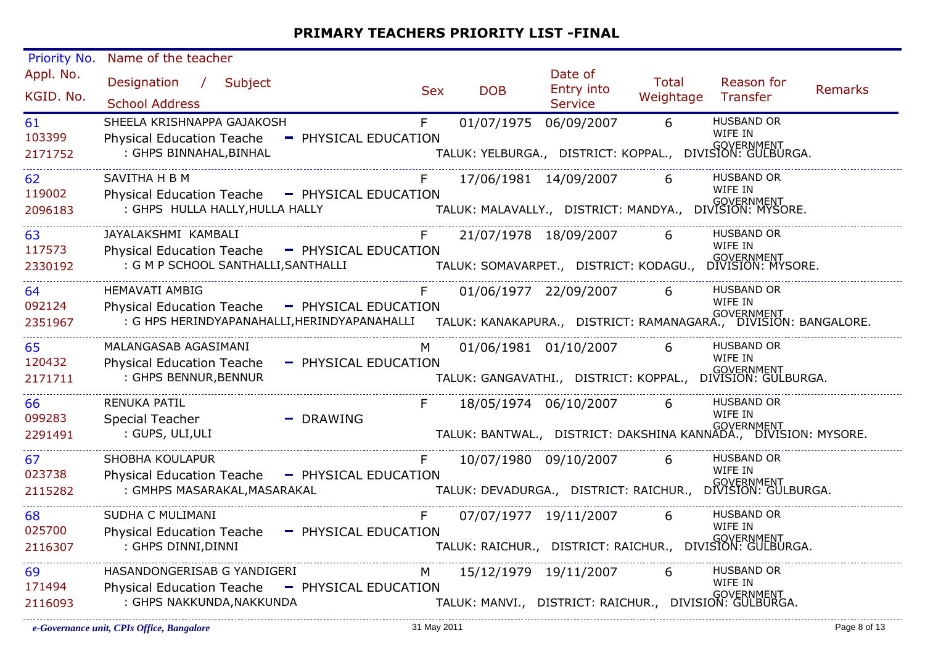| Priority No.           | Name of the teacher                                                                                                                                                        |            |                       |                                         |                           |                                                                     |         |
|------------------------|----------------------------------------------------------------------------------------------------------------------------------------------------------------------------|------------|-----------------------|-----------------------------------------|---------------------------|---------------------------------------------------------------------|---------|
| Appl. No.<br>KGID. No. | Designation /<br>Subject<br><b>School Address</b>                                                                                                                          | <b>Sex</b> | <b>DOB</b>            | Date of<br>Entry into<br><b>Service</b> | <b>Total</b><br>Weightage | Reason for<br>Transfer                                              | Remarks |
|                        | SHEELA KRISHNAPPA GAJAKOSH                                                                                                                                                 |            |                       |                                         | 6                         | <b>HUSBAND OR</b>                                                   |         |
| 61<br>103399           | <b>Physical Education Teache</b><br>- PHYSICAL EDUCATION                                                                                                                   | F.         | 01/07/1975 06/09/2007 |                                         |                           | WIFE IN                                                             |         |
| 2171752                | : GHPS BINNAHAL, BINHAL                                                                                                                                                    |            |                       |                                         |                           | <br>TALUK: YELBURGA.,   DISTRICT: KOPPAL.,   DIVISION: GULBURGA.    |         |
| 62                     | SAVITHA H B M                                                                                                                                                              |            |                       | 17/06/1981 14/09/2007                   | 6                         | <b>HUSBAND OR</b>                                                   |         |
| 119002                 | Physical Education Teache - PHYSICAL EDUCATION                                                                                                                             |            |                       |                                         |                           | WIFE IN                                                             |         |
| 2096183                | : GHPS HULLA HALLY, HULLA HALLY                                                                                                                                            |            |                       |                                         |                           | ''<br>TALUK: MALAVALLY.,   DISTRICT: MANDYA.,   DIVISION: MYSORE.   |         |
| 63                     | JAYALAKSHMI KAMBALI                                                                                                                                                        | F          | 21/07/1978 18/09/2007 |                                         | 6                         | <b>HUSBAND OR</b><br>WIFE IN                                        |         |
| 117573                 | Physical Education Teache - PHYSICAL EDUCATION                                                                                                                             |            |                       |                                         |                           |                                                                     |         |
| 2330192                | : G M P SCHOOL SANTHALLI, SANTHALLI                                                                                                                                        |            |                       |                                         |                           | .<br>TALUK: SOMAVARPET.,   DISTRICT: KODAGU.,   DIVISION: MYSORE.   |         |
| 64                     | <b>HEMAVATI AMBIG</b>                                                                                                                                                      | F.         |                       | 01/06/1977 22/09/2007                   | 6                         | <b>HUSBAND OR</b>                                                   |         |
| 092124                 | Physical Education Teache - PHYSICAL EDUCATION                                                                                                                             |            |                       |                                         |                           | WIFE IN                                                             |         |
| 2351967                | sical Luucation Teache — FITTSICAL LDUCATION<br>GOVERNMENT : G HPS HERINDYAPANAHALLI,HERINDYAPANAHALLI — TALUK: KANAKAPURA., DISTRICT: RAMANAGARA., DIVISION: BANGALORE. : |            |                       |                                         |                           |                                                                     |         |
| 65                     | MALANGASAB AGASIMANI                                                                                                                                                       | M          |                       | 01/06/1981 01/10/2007                   | 6                         | <b>HUSBAND OR</b>                                                   |         |
| 120432                 | <b>Physical Education Teache</b><br>- PHYSICAL EDUCATION                                                                                                                   |            |                       |                                         |                           | WIFE IN                                                             |         |
| 2171711                | : GHPS BENNUR, BENNUR                                                                                                                                                      |            |                       |                                         |                           | .<br>TALUK: GANGAVATHI.,   DISTRICT: KOPPAL.,   DIVISION: GULBURGA. |         |
| 66                     | <b>RENUKA PATIL</b>                                                                                                                                                        | F.         | 18/05/1974 06/10/2007 |                                         | 6                         | <b>HUSBAND OR</b>                                                   |         |
| 099283                 | Special Teacher<br>$\blacksquare$ DRAWING                                                                                                                                  |            |                       |                                         |                           | WIFE IN                                                             |         |
| 2291491                | : GUPS, ULI, ULI                                                                                                                                                           |            |                       |                                         |                           | TALUK: BANTWAL., DISTRICT: DAKSHINA KANNADA., DIVISION: MYSORE.     |         |
| 67                     | <b>SHOBHA KOULAPUR</b>                                                                                                                                                     | F.         |                       | 10/07/1980 09/10/2007                   | 6                         | <b>HUSBAND OR</b>                                                   |         |
| 023738                 | <b>Physical Education Teache</b><br>- PHYSICAL EDUCATION                                                                                                                   |            |                       |                                         |                           | WIFE IN                                                             |         |
| 2115282                | : GMHPS MASARAKAL, MASARAKAL                                                                                                                                               |            |                       |                                         |                           | .<br>TALUK: DEVADURGA.,   DISTRICT: RAICHUR.,   DIVISION: GULBURGA. |         |
| 68                     | SUDHA C MULIMANI                                                                                                                                                           | F.         | 07/07/1977 19/11/2007 |                                         | 6                         | <b>HUSBAND OR</b>                                                   |         |
| 025700                 | <b>Physical Education Teache</b><br>- PHYSICAL EDUCATION                                                                                                                   |            |                       |                                         |                           | WIFE IN                                                             |         |
| 2116307                | : GHPS DINNI, DINNI                                                                                                                                                        |            |                       |                                         |                           | <br>TALUK: RAICHUR.,   DISTRICT: RAICHUR.,   DIVISION: GULBURGA.    |         |
| 69                     | HASANDONGERISAB G YANDIGERI                                                                                                                                                | M          |                       | 15/12/1979 19/11/2007                   | 6                         | <b>HUSBAND OR</b>                                                   |         |
| 171494                 | <b>Physical Education Teache</b><br>- PHYSICAL EDUCATION                                                                                                                   |            |                       |                                         |                           | WIFE IN                                                             |         |
| 2116093                | : GHPS NAKKUNDA, NAKKUNDA                                                                                                                                                  |            |                       |                                         |                           | .<br>TALUK: MANVI.,   DISTRICT: RAICHUR.,   DIVISION: GULBURGA.     |         |
|                        |                                                                                                                                                                            |            |                       |                                         |                           |                                                                     |         |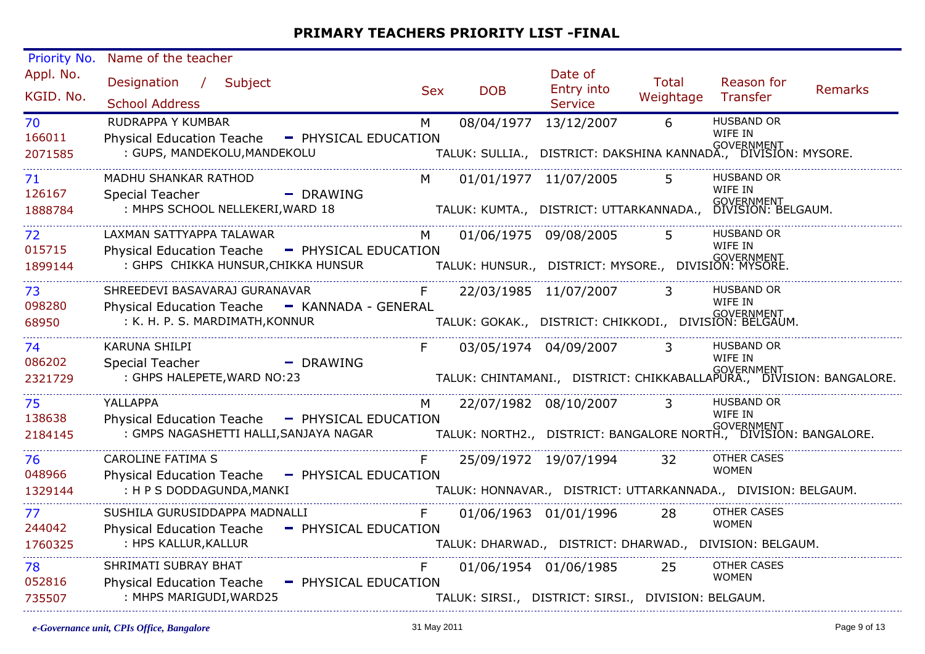| Priority No.           | Name of the teacher                                                                        |            |            |                                                                                                                          |                             |                                                                                        |         |
|------------------------|--------------------------------------------------------------------------------------------|------------|------------|--------------------------------------------------------------------------------------------------------------------------|-----------------------------|----------------------------------------------------------------------------------------|---------|
| Appl. No.<br>KGID. No. | Designation / Subject<br><b>School Address</b>                                             | <b>Sex</b> | <b>DOB</b> | Date of<br>Entry into<br><b>Service</b>                                                                                  | Total<br>Weightage Transfer | Reason for                                                                             | Remarks |
| 70                     | RUDRAPPA Y KUMBAR                                                                          | M          |            | 08/04/1977 13/12/2007                                                                                                    | $6\overline{6}$             | <b>HUSBAND OR</b>                                                                      |         |
| 166011<br>2071585      | Physical Education Teache - PHYSICAL EDUCATION<br>: GUPS, MANDEKOLU, MANDEKOLU             |            |            |                                                                                                                          |                             | WIFE IN<br>.<br>TALUK: SULLIA.,   DISTRICT: DAKSHINA KANNADA.,   DIVISION: MYSORE.     |         |
| 71                     | MADHU SHANKAR RATHOD                                                                       | M          |            | 01/01/1977 11/07/2005                                                                                                    |                             | <b>HUSBAND OR</b>                                                                      |         |
| 126167<br>1888784      | - DRAWING<br>Special Teacher<br>: MHPS SCHOOL NELLEKERI, WARD 18                           |            |            |                                                                                                                          |                             | WIFE IN<br><br>TALUK: KUMTA., DISTRICT: UTTARKANNADA., DIVISION: BELGAUM.              |         |
| 72                     | LAXMAN SATTYAPPA TALAWAR                                                                   | M.         |            | 01/06/1975 09/08/2005                                                                                                    | 5.                          | <b>HUSBAND OR</b>                                                                      |         |
| 015715                 | Physical Education Teache - PHYSICAL EDUCATION                                             |            |            |                                                                                                                          |                             | WIFE IN                                                                                |         |
| 1899144                | : GHPS CHIKKA HUNSUR,CHIKKA HUNSUR<br>TALUK: HUNSUR., DISTRICT: MYSORE., DIVISION: MYSORE. |            |            |                                                                                                                          |                             |                                                                                        |         |
| 73<br>098280           | SHREEDEVI BASAVARAJ GURANAVAR<br>Physical Education Teache - KANNADA - GENERAL             | F          |            | 22/03/1985 11/07/2007 3                                                                                                  |                             | <b>HUSBAND OR</b><br>WIFE IN                                                           |         |
| 68950                  | : K. H. P. S. MARDIMATH, KONNUR                                                            |            |            | TALUK: GOKAK.,   DISTRICT: CHIKKODI.,   DIVISION: BELGAUM.<br>TALUK: GOKAK.,   DISTRICT: CHIKKODI.,   DIVISION: BELGAUM. |                             |                                                                                        |         |
| 74                     | KARUNA SHILPI                                                                              |            |            | 03/05/1974 04/09/2007 3                                                                                                  |                             | <b>HUSBAND OR</b><br>WIFE IN                                                           |         |
| 086202<br>2321729      | Special Teacher<br>- DRAWING<br>: GHPS HALEPETE, WARD NO:23                                |            |            |                                                                                                                          |                             | GOVERNMENT<br>TALUK: CHINTAMANI.,   DISTRICT: CHIKKABALLAPURA.,   DIVISION: BANGALORE. |         |
| 75                     | YALLAPPA                                                                                   | M.         |            | 22/07/1982 08/10/2007 3                                                                                                  |                             | <b>HUSBAND OR</b>                                                                      |         |
| 138638<br>2184145      | Physical Education Teache - PHYSICAL EDUCATION                                             |            |            |                                                                                                                          |                             | WIFE IN                                                                                |         |
| 76                     | <b>CAROLINE FATIMA S</b>                                                                   | F          |            | 25/09/1972 19/07/1994                                                                                                    | 32                          | <b>OTHER CASES</b>                                                                     |         |
| 048966                 | Physical Education Teache - PHYSICAL EDUCATION                                             |            |            |                                                                                                                          |                             | <b>WOMEN</b>                                                                           |         |
| 1329144                | : H P S DODDAGUNDA, MANKI                                                                  |            |            |                                                                                                                          |                             | TALUK: HONNAVAR., DISTRICT: UTTARKANNADA., DIVISION: BELGAUM.                          |         |
| 77                     | SUSHILA GURUSIDDAPPA MADNALLI                                                              | F          |            | 01/06/1963 01/01/1996 28                                                                                                 |                             | <b>OTHER CASES</b>                                                                     |         |
| 244042<br>1760325      | Physical Education Teache - PHYSICAL EDUCATION<br>: HPS KALLUR, KALLUR                     |            |            |                                                                                                                          |                             | <b>WOMEN</b><br>TALUK: DHARWAD., DISTRICT: DHARWAD., DIVISION: BELGAUM.                |         |
| 78                     | SHRIMATI SUBRAY BHAT                                                                       |            |            | 01/06/1954 01/06/1985 25                                                                                                 |                             | <b>OTHER CASES</b>                                                                     |         |
| 052816                 | Physical Education Teache - PHYSICAL EDUCATION                                             |            |            |                                                                                                                          |                             | <b>WOMEN</b>                                                                           |         |
| 735507                 | : MHPS MARIGUDI, WARD25                                                                    |            |            | TALUK: SIRSI., DISTRICT: SIRSI., DIVISION: BELGAUM.                                                                      |                             |                                                                                        |         |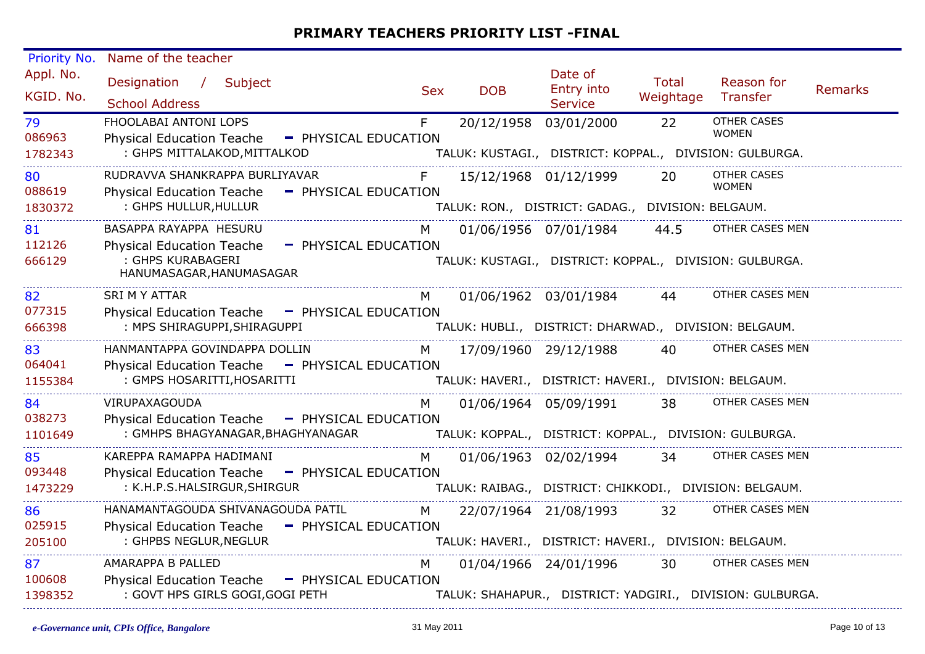| Priority No.           | Name of the teacher                                                                                                                        |                      |            |            |                                                       |                           |                                                           |         |
|------------------------|--------------------------------------------------------------------------------------------------------------------------------------------|----------------------|------------|------------|-------------------------------------------------------|---------------------------|-----------------------------------------------------------|---------|
| Appl. No.<br>KGID. No. | Designation /<br>Subject<br><b>School Address</b>                                                                                          |                      | <b>Sex</b> | <b>DOB</b> | Date of<br>Entry into<br><b>Service</b>               | <b>Total</b><br>Weightage | Reason for<br>Transfer                                    | Remarks |
| 79<br>086963           | FHOOLABAI ANTONI LOPS<br><b>Physical Education Teache</b>                                                                                  | - PHYSICAL EDUCATION | F          | 20/12/1958 | 03/01/2000                                            | 22                        | OTHER CASES<br><b>WOMEN</b>                               |         |
| 1782343                | : GHPS MITTALAKOD, MITTALKOD                                                                                                               |                      |            |            |                                                       |                           | TALUK: KUSTAGI., DISTRICT: KOPPAL., DIVISION: GULBURGA.   |         |
| 80<br>088619           | RUDRAVVA SHANKRAPPA BURLIYAVAR<br><b>Physical Education Teache</b>                                                                         | - PHYSICAL EDUCATION | F          |            | 15/12/1968 01/12/1999                                 | 20                        | <b>OTHER CASES</b><br><b>WOMEN</b>                        |         |
| 1830372                | : GHPS HULLUR, HULLUR                                                                                                                      |                      |            |            | TALUK: RON., DISTRICT: GADAG., DIVISION: BELGAUM.     |                           |                                                           |         |
| 81<br>112126           | BASAPPA RAYAPPA HESURU<br><b>Physical Education Teache</b>                                                                                 | - PHYSICAL EDUCATION | M          |            | 01/06/1956 07/01/1984                                 | 44.5                      | OTHER CASES MEN                                           |         |
| 666129                 | : GHPS KURABAGERI<br>HANUMASAGAR, HANUMASAGAR                                                                                              |                      |            |            |                                                       |                           | TALUK: KUSTAGI., DISTRICT: KOPPAL., DIVISION: GULBURGA.   |         |
| 82                     | <b>SRI M Y ATTAR</b>                                                                                                                       |                      | M          |            | 01/06/1962 03/01/1984                                 | 44                        | OTHER CASES MEN                                           |         |
| 077315<br>666398       | Physical Education Teache - PHYSICAL EDUCATION<br>: MPS SHIRAGUPPI, SHIRAGUPPI                                                             |                      |            |            | TALUK: HUBLI., DISTRICT: DHARWAD., DIVISION: BELGAUM. |                           |                                                           |         |
| 83                     | HANMANTAPPA GOVINDAPPA DOLLIN                                                                                                              |                      | M.         |            | 17/09/1960 29/12/1988                                 | 40                        | OTHER CASES MEN                                           |         |
| 064041<br>1155384      | Physical Education Teache - PHYSICAL EDUCATION<br>: GMPS HOSARITTI, HOSARITTI                                                              |                      |            |            | TALUK: HAVERI., DISTRICT: HAVERI., DIVISION: BELGAUM. |                           |                                                           |         |
| 84                     | VIRUPAXAGOUDA                                                                                                                              |                      | M          |            | 01/06/1964 05/09/1991                                 | 38                        | OTHER CASES MEN                                           |         |
| 038273<br>1101649      | Physical Education Teache - PHYSICAL EDUCATION<br>: GMHPS BHAGYANAGAR, BHAGHYANAGAR TALUK: KOPPAL., DISTRICT: KOPPAL., DIVISION: GULBURGA. |                      |            |            |                                                       |                           |                                                           |         |
| 85                     | KAREPPA RAMAPPA HADIMANI                                                                                                                   |                      | M          |            | 01/06/1963 02/02/1994                                 | 34                        | OTHER CASES MEN                                           |         |
| 093448<br>1473229      | <b>Physical Education Teache</b><br>: K.H.P.S.HALSIRGUR, SHIRGUR                                                                           | - PHYSICAL EDUCATION |            |            |                                                       |                           | TALUK: RAIBAG., DISTRICT: CHIKKODI., DIVISION: BELGAUM.   |         |
| 86                     | HANAMANTAGOUDA SHIVANAGOUDA PATIL                                                                                                          |                      | M          |            | 22/07/1964 21/08/1993 32                              |                           | OTHER CASES MEN                                           |         |
| 025915<br>205100       | Physical Education Teache - PHYSICAL EDUCATION<br>: GHPBS NEGLUR, NEGLUR                                                                   |                      |            |            | TALUK: HAVERI., DISTRICT: HAVERI., DIVISION: BELGAUM. |                           |                                                           |         |
| 87                     | AMARAPPA B PALLED                                                                                                                          |                      | M          |            | 01/04/1966 24/01/1996                                 | 30                        | OTHER CASES MEN                                           |         |
| 100608<br>1398352      | Physical Education Teache - PHYSICAL EDUCATION<br>: GOVT HPS GIRLS GOGI, GOGI PETH                                                         |                      |            |            |                                                       |                           | TALUK: SHAHAPUR., DISTRICT: YADGIRI., DIVISION: GULBURGA. |         |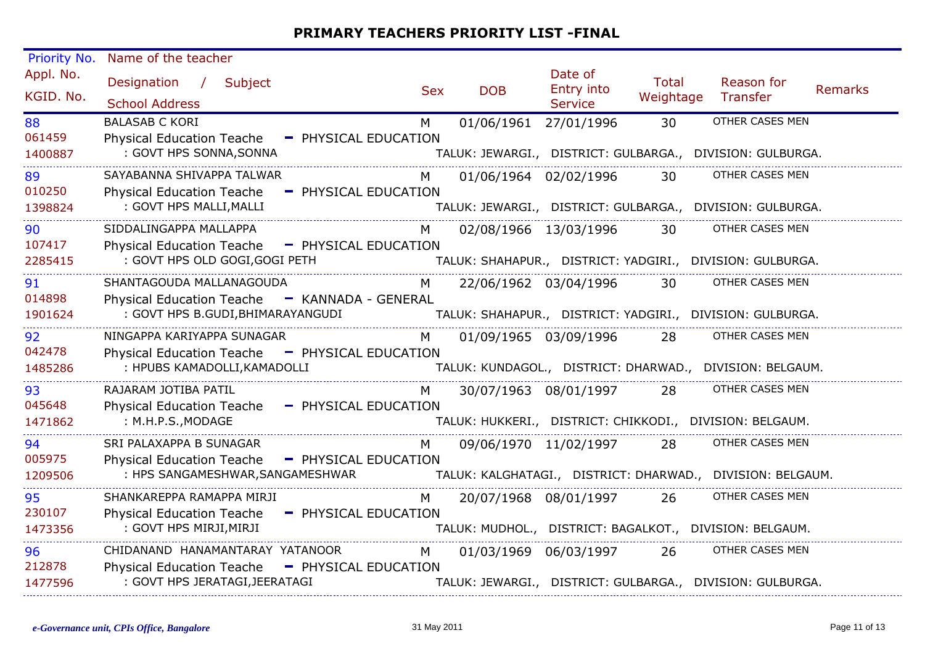| Priority No.           | Name of the teacher                                                                                                                                     |            |                       |                                         |                           |                                                           |         |
|------------------------|---------------------------------------------------------------------------------------------------------------------------------------------------------|------------|-----------------------|-----------------------------------------|---------------------------|-----------------------------------------------------------|---------|
| Appl. No.<br>KGID. No. | Designation /<br>Subject<br><b>School Address</b>                                                                                                       | <b>Sex</b> | <b>DOB</b>            | Date of<br>Entry into<br><b>Service</b> | <b>Total</b><br>Weightage | Reason for<br>Transfer                                    | Remarks |
| 88<br>061459           | <b>BALASAB C KORI</b><br><b>Physical Education Teache</b><br>- PHYSICAL EDUCATION                                                                       | M          | 01/06/1961            | 27/01/1996                              | 30                        | OTHER CASES MEN                                           |         |
| 1400887                | : GOVT HPS SONNA, SONNA                                                                                                                                 |            |                       |                                         |                           | TALUK: JEWARGI., DISTRICT: GULBARGA., DIVISION: GULBURGA. |         |
| 89<br>010250           | SAYABANNA SHIVAPPA TALWAR<br><b>Physical Education Teache</b><br>- PHYSICAL EDUCATION                                                                   | M          |                       | 01/06/1964 02/02/1996                   | 30 <sup>7</sup>           | OTHER CASES MEN                                           |         |
| 1398824                | : GOVT HPS MALLI, MALLI                                                                                                                                 |            |                       |                                         |                           | TALUK: JEWARGI., DISTRICT: GULBARGA., DIVISION: GULBURGA. |         |
| 90<br>107417           | SIDDALINGAPPA MALLAPPA                                                                                                                                  | M          |                       | 02/08/1966 13/03/1996                   | 30                        | OTHER CASES MEN                                           |         |
| 2285415                | Physical Education Teache - PHYSICAL EDUCATION<br>: GOVT HPS OLD GOGI, GOGI PETH                                                                        |            |                       |                                         |                           | TALUK: SHAHAPUR., DISTRICT: YADGIRI., DIVISION: GULBURGA. |         |
| 91                     | SHANTAGOUDA MALLANAGOUDA                                                                                                                                | M          |                       | 22/06/1962 03/04/1996                   | 30                        | OTHER CASES MEN                                           |         |
| 014898<br>1901624      | Physical Education Teache - KANNADA - GENERAL<br>: GOVT HPS B.GUDI, BHIMARAYANGUDI                                                                      |            |                       |                                         |                           |                                                           |         |
| 92                     | NINGAPPA KARIYAPPA SUNAGAR                                                                                                                              | M          |                       | 01/09/1965 03/09/1996                   | 28                        | OTHER CASES MEN                                           |         |
| 042478<br>1485286      | Physical Education Teache - PHYSICAL EDUCATION<br>: HPUBS KAMADOLLI, KAMADOLLI                                                                          |            |                       |                                         |                           | TALUK: KUNDAGOL., DISTRICT: DHARWAD., DIVISION: BELGAUM.  |         |
| 93                     | RAJARAM JOTIBA PATIL                                                                                                                                    | M          |                       | 30/07/1963 08/01/1997                   | 28                        | OTHER CASES MEN                                           |         |
| 045648<br>1471862      | <b>Physical Education Teache</b><br>- PHYSICAL EDUCATION<br>: M.H.P.S., MODAGE                                                                          |            |                       |                                         |                           | TALUK: HUKKERI., DISTRICT: CHIKKODI., DIVISION: BELGAUM.  |         |
| 94                     | SRI PALAXAPPA B SUNAGAR                                                                                                                                 | M          |                       | 09/06/1970 11/02/1997                   | 28                        | OTHER CASES MEN                                           |         |
| 005975<br>1209506      | <b>Physical Education Teache</b><br>- PHYSICAL EDUCATION<br>: HPS SANGAMESHWAR, SANGAMESHWAR TALUK: KALGHATAGI., DISTRICT: DHARWAD., DIVISION: BELGAUM. |            |                       |                                         |                           |                                                           |         |
| 95                     | SHANKAREPPA RAMAPPA MIRJI                                                                                                                               | M          | 20/07/1968 08/01/1997 |                                         | 26                        | OTHER CASES MEN                                           |         |
| 230107<br>1473356      | Physical Education Teache - PHYSICAL EDUCATION<br>: GOVT HPS MIRJI, MIRJI                                                                               |            |                       |                                         |                           | TALUK: MUDHOL., DISTRICT: BAGALKOT., DIVISION: BELGAUM.   |         |
| 96                     | CHIDANAND HANAMANTARAY YATANOOR                                                                                                                         | M          |                       | 01/03/1969 06/03/1997                   | 26                        | OTHER CASES MEN                                           |         |
| 212878<br>1477596      | <b>Physical Education Teache</b><br>- PHYSICAL EDUCATION<br>: GOVT HPS JERATAGI, JEERATAGI                                                              |            |                       |                                         |                           | TALUK: JEWARGI., DISTRICT: GULBARGA., DIVISION: GULBURGA. |         |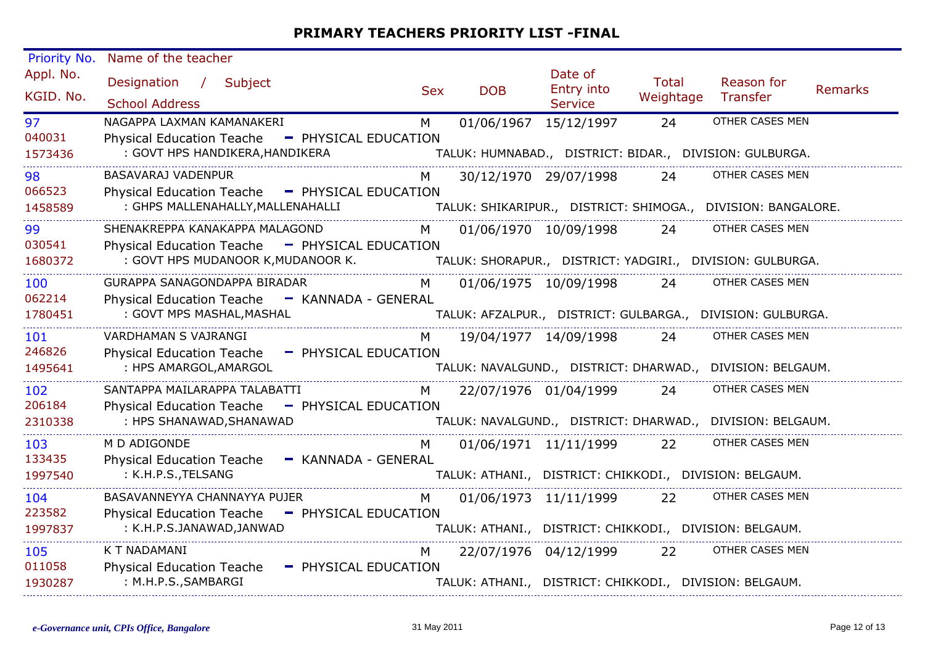| Priority No.           | Name of the teacher                                                                                                                            |            |                       |                                         |                           |                                                              |         |
|------------------------|------------------------------------------------------------------------------------------------------------------------------------------------|------------|-----------------------|-----------------------------------------|---------------------------|--------------------------------------------------------------|---------|
| Appl. No.<br>KGID. No. | Designation / Subject<br><b>School Address</b>                                                                                                 | <b>Sex</b> | <b>DOB</b>            | Date of<br>Entry into<br><b>Service</b> | <b>Total</b><br>Weightage | Reason for<br>Transfer                                       | Remarks |
| 97                     | NAGAPPA LAXMAN KAMANAKERI                                                                                                                      | M          | 01/06/1967 15/12/1997 |                                         | 24                        | OTHER CASES MEN                                              |         |
| 040031<br>1573436      | Physical Education Teache - PHYSICAL EDUCATION<br>: GOVT HPS HANDIKERA, HANDIKERA                                                              |            |                       |                                         |                           | TALUK: HUMNABAD., DISTRICT: BIDAR., DIVISION: GULBURGA.      |         |
| 98                     | BASAVARAJ VADENPUR                                                                                                                             |            |                       | 30/12/1970 29/07/1998                   | 24                        | OTHER CASES MEN                                              |         |
| 066523<br>1458589      | Physical Education Teache - PHYSICAL EDUCATION<br>: GHPS MALLENAHALLY, MALLENAHALLI                                                            |            |                       |                                         |                           | TALUK: SHIKARIPUR., DISTRICT: SHIMOGA., DIVISION: BANGALORE. |         |
| 99                     | SHENAKREPPA KANAKAPPA MALAGOND                                                                                                                 | M l        |                       | 01/06/1970 10/09/1998                   | 24                        | OTHER CASES MEN                                              |         |
| 030541<br>1680372      | Physical Education Teache - PHYSICAL EDUCATION<br>: GOVT HPS MUDANOOR K, MUDANOOR K. TALUK: SHORAPUR., DISTRICT: YADGIRI., DIVISION: GULBURGA. |            |                       |                                         |                           |                                                              |         |
| 100                    | GURAPPA SANAGONDAPPA BIRADAR                                                                                                                   | M I        |                       | 01/06/1975 10/09/1998                   | 24                        | OTHER CASES MEN                                              |         |
| 062214<br>1780451      | Physical Education Teache - KANNADA - GENERAL<br>: GOVT MPS MASHAL, MASHAL                                                                     |            |                       |                                         |                           | TALUK: AFZALPUR., DISTRICT: GULBARGA., DIVISION: GULBURGA.   |         |
| 101                    | VARDHAMAN S VAJRANGI                                                                                                                           | M          | 19/04/1977 14/09/1998 |                                         | 24                        | OTHER CASES MEN                                              |         |
| 246826<br>1495641      | Physical Education Teache - PHYSICAL EDUCATION<br>: HPS AMARGOL, AMARGOL                                                                       |            |                       |                                         |                           | TALUK: NAVALGUND., DISTRICT: DHARWAD., DIVISION: BELGAUM.    |         |
| 102                    | SANTAPPA MAILARAPPA TALABATTI                                                                                                                  | M          | 22/07/1976 01/04/1999 |                                         | 24                        | OTHER CASES MEN                                              |         |
| 206184                 | <b>Physical Education Teache</b><br>- PHYSICAL EDUCATION                                                                                       |            |                       |                                         |                           |                                                              |         |
| 2310338                | : HPS SHANAWAD, SHANAWAD                                                                                                                       |            |                       |                                         |                           | TALUK: NAVALGUND., DISTRICT: DHARWAD., DIVISION: BELGAUM.    |         |
| 103                    | M D ADIGONDE                                                                                                                                   | M          |                       | 01/06/1971 11/11/1999                   | 22                        | OTHER CASES MEN                                              |         |
| 133435<br>1997540      | <b>Physical Education Teache</b><br>- KANNADA - GENERAL<br>: K.H.P.S., TELSANG                                                                 |            |                       |                                         |                           | TALUK: ATHANI., DISTRICT: CHIKKODI., DIVISION: BELGAUM.      |         |
| 104                    | BASAVANNEYYA CHANNAYYA PUJER                                                                                                                   | M          |                       | 01/06/1973 11/11/1999                   | 22                        | OTHER CASES MEN                                              |         |
| 223582<br>1997837      | Physical Education Teache - PHYSICAL EDUCATION<br>: K.H.P.S.JANAWAD,JANWAD                                                                     |            |                       |                                         |                           | TALUK: ATHANI., DISTRICT: CHIKKODI., DIVISION: BELGAUM.      |         |
| 105<br>011058          | K T NADAMANI<br><b>Physical Education Teache</b><br>- PHYSICAL EDUCATION                                                                       | M          |                       | 22/07/1976 04/12/1999                   | 22                        | OTHER CASES MEN                                              |         |
| 1930287                | : M.H.P.S., SAMBARGI                                                                                                                           |            |                       |                                         |                           | TALUK: ATHANI., DISTRICT: CHIKKODI., DIVISION: BELGAUM.      |         |